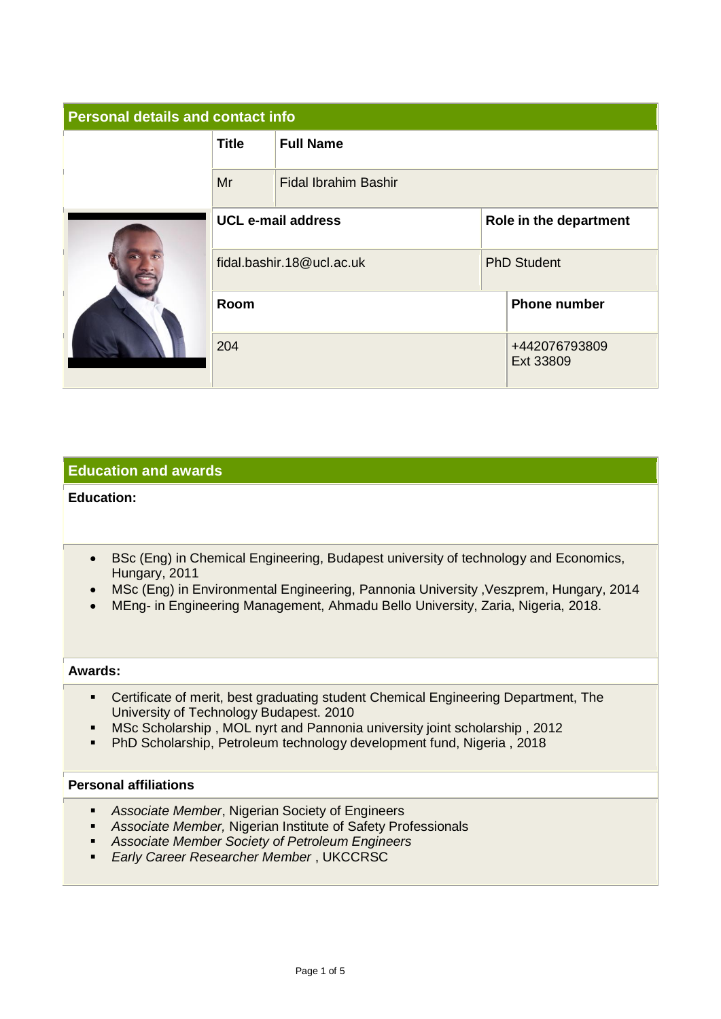| <b>Personal details and contact info</b> |                           |                             |                     |                            |  |
|------------------------------------------|---------------------------|-----------------------------|---------------------|----------------------------|--|
|                                          | <b>Title</b>              | <b>Full Name</b>            |                     |                            |  |
|                                          | Mr                        | <b>Fidal Ibrahim Bashir</b> |                     |                            |  |
|                                          | <b>UCL e-mail address</b> |                             |                     | Role in the department     |  |
|                                          | fidal.bashir.18@ucl.ac.uk |                             |                     | <b>PhD Student</b>         |  |
|                                          | Room                      |                             | <b>Phone number</b> |                            |  |
|                                          | 204                       |                             |                     | +442076793809<br>Ext 33809 |  |

## **Education and awards**

### **Education:**

- BSc (Eng) in Chemical Engineering, Budapest university of technology and Economics, Hungary, 2011
- MSc (Eng) in Environmental Engineering, Pannonia University ,Veszprem, Hungary, 2014
- MEng- in Engineering Management, Ahmadu Bello University, Zaria, Nigeria, 2018.

#### **Awards:**

- Certificate of merit, best graduating student Chemical Engineering Department, The University of Technology Budapest. 2010
- **■** MSc Scholarship, MOL nyrt and Pannonia university joint scholarship, 2012
- PhD Scholarship, Petroleum technology development fund, Nigeria , 2018

#### **Personal affiliations**

- *Associate Member*, Nigerian Society of Engineers
- *Associate Member,* Nigerian Institute of Safety Professionals
- *Associate Member Society of Petroleum Engineers*
- *Early Career Researcher Member* , UKCCRSC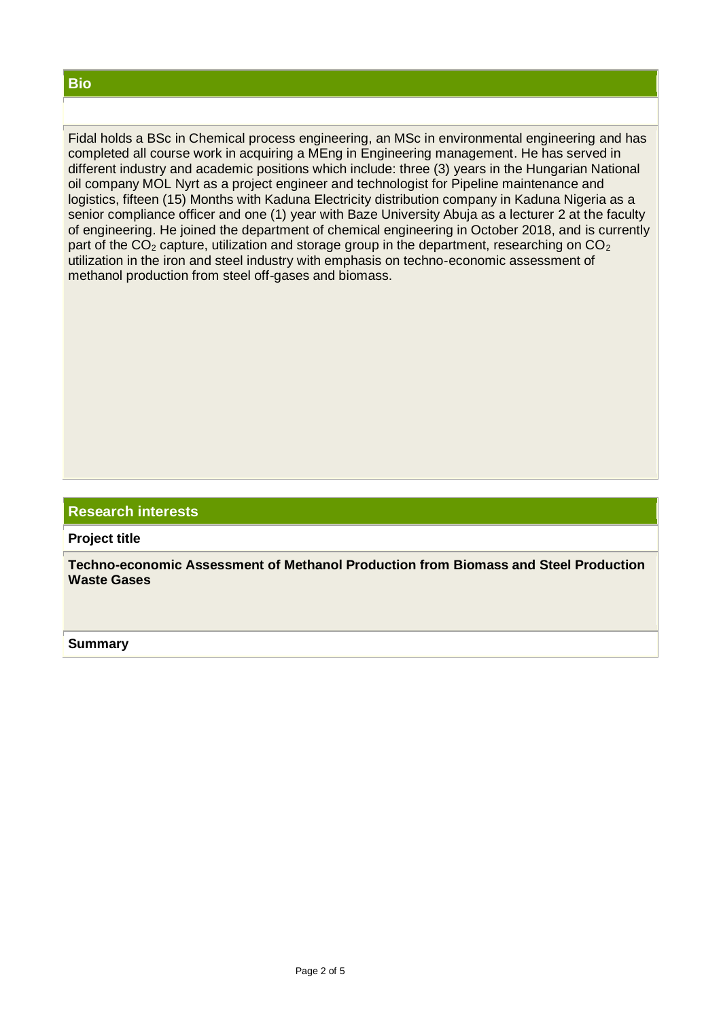#### **Bio**

Fidal holds a BSc in Chemical process engineering, an MSc in environmental engineering and has completed all course work in acquiring a MEng in Engineering management. He has served in different industry and academic positions which include: three (3) years in the Hungarian National oil company MOL Nyrt as a project engineer and technologist for Pipeline maintenance and logistics, fifteen (15) Months with Kaduna Electricity distribution company in Kaduna Nigeria as a senior compliance officer and one (1) year with Baze University Abuja as a lecturer 2 at the faculty of engineering. He joined the department of chemical engineering in October 2018, and is currently part of the  $CO<sub>2</sub>$  capture, utilization and storage group in the department, researching on  $CO<sub>2</sub>$ utilization in the iron and steel industry with emphasis on techno-economic assessment of methanol production from steel off-gases and biomass.

#### **Research interests**

**Project title**

**Techno-economic Assessment of Methanol Production from Biomass and Steel Production Waste Gases**

**Summary**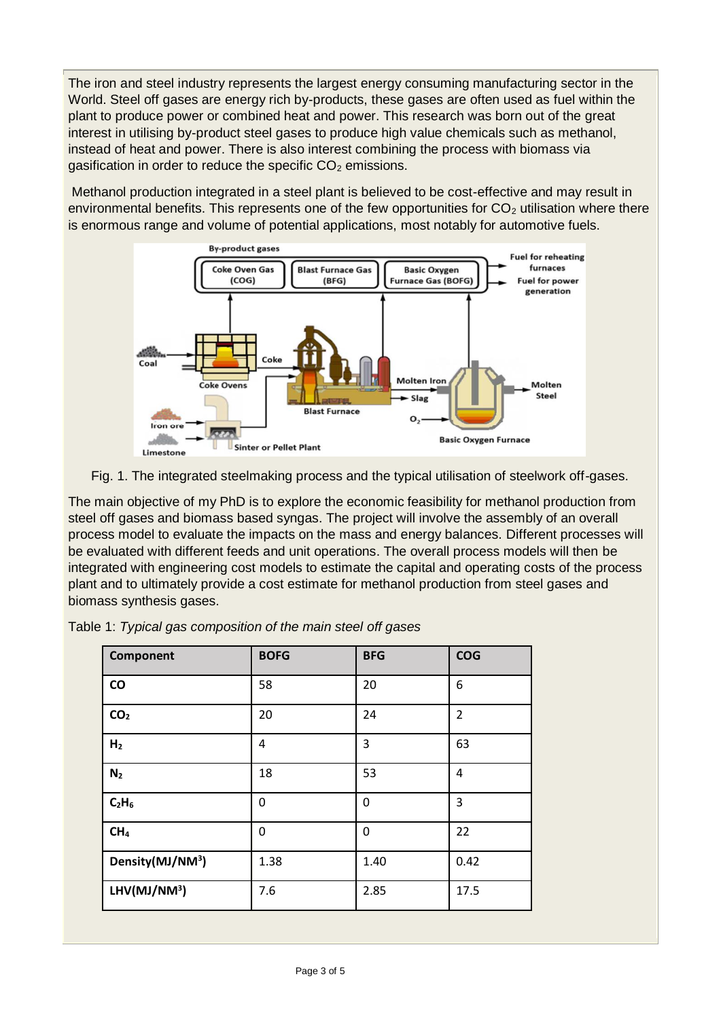The iron and steel industry represents the largest energy consuming manufacturing sector in the World. Steel off gases are energy rich by-products, these gases are often used as fuel within the plant to produce power or combined heat and power. This research was born out of the great interest in utilising by-product steel gases to produce high value chemicals such as methanol, instead of heat and power. There is also interest combining the process with biomass via gasification in order to reduce the specific  $CO<sub>2</sub>$  emissions.

Methanol production integrated in a steel plant is believed to be cost-effective and may result in environmental benefits. This represents one of the few opportunities for  $CO<sub>2</sub>$  utilisation where there is enormous range and volume of potential applications, most notably for automotive fuels.





The main objective of my PhD is to explore the economic feasibility for methanol production from steel off gases and biomass based syngas. The project will involve the assembly of an overall process model to evaluate the impacts on the mass and energy balances. Different processes will be evaluated with different feeds and unit operations. The overall process models will then be integrated with engineering cost models to estimate the capital and operating costs of the process plant and to ultimately provide a cost estimate for methanol production from steel gases and biomass synthesis gases.

| Component                    | <b>BOFG</b> | <b>BFG</b>   | <b>COG</b>     |
|------------------------------|-------------|--------------|----------------|
| $\mathsf{co}\,$              | 58          | 20           | 6              |
| CO <sub>2</sub>              | 20          | 24           | $\overline{2}$ |
| H <sub>2</sub>               | 4           | 3            | 63             |
| N <sub>2</sub>               | 18          | 53           | 4              |
| $C_2H_6$                     | 0           | $\mathbf{0}$ | 3              |
| CH <sub>4</sub>              | 0           | 0            | 22             |
| Density(MJ/NM <sup>3</sup> ) | 1.38        | 1.40         | 0.42           |
| $LHV(MJ/NM^3)$               | 7.6         | 2.85         | 17.5           |

|  | Table 1: Typical gas composition of the main steel off gases |  |  |  |
|--|--------------------------------------------------------------|--|--|--|
|  |                                                              |  |  |  |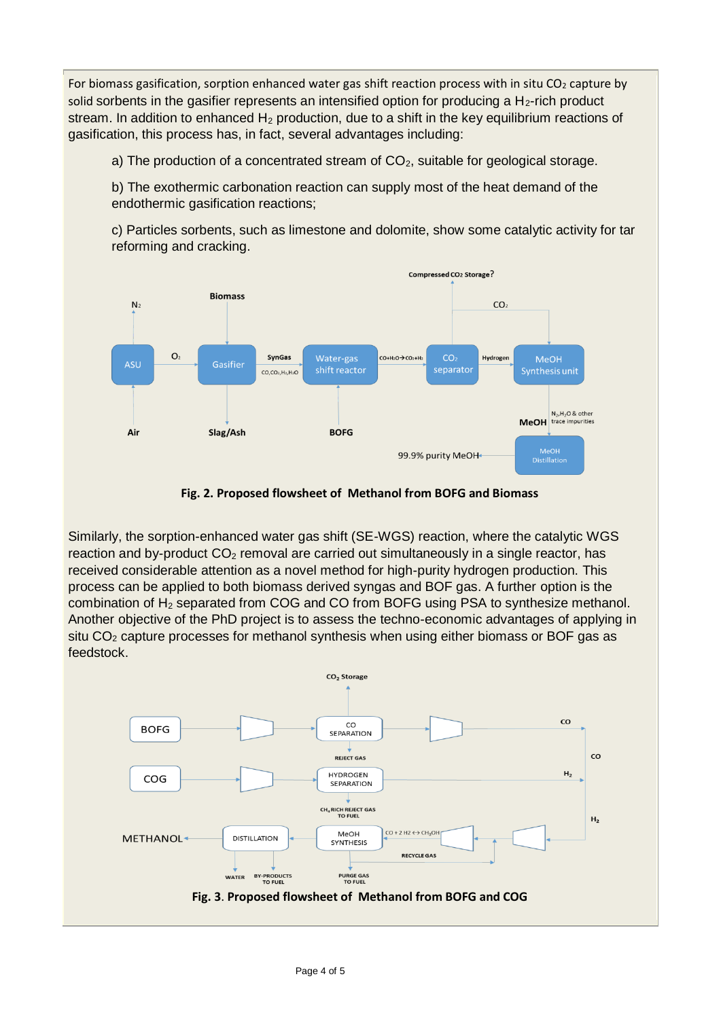For biomass gasification, sorption enhanced water gas shift reaction process with in situ  $CO<sub>2</sub>$  capture by solid sorbents in the gasifier represents an intensified option for producing a  $H_2$ -rich product stream. In addition to enhanced  $H_2$  production, due to a shift in the key equilibrium reactions of gasification, this process has, in fact, several advantages including:

a) The production of a concentrated stream of  $CO<sub>2</sub>$ , suitable for geological storage.

b) The exothermic carbonation reaction can supply most of the heat demand of the endothermic gasification reactions:

c) Particles sorbents, such as limestone and dolomite, show some catalytic activity for tar reforming and cracking.



**Fig. 2. Proposed flowsheet of Methanol from BOFG and Biomass**

Similarly, the sorption-enhanced water gas shift (SE-WGS) reaction, where the catalytic WGS reaction and by-product  $CO<sub>2</sub>$  removal are carried out simultaneously in a single reactor, has received considerable attention as a novel method for high-purity hydrogen production. This process can be applied to both biomass derived syngas and BOF gas. A further option is the combination of H<sup>2</sup> separated from COG and CO from BOFG using PSA to synthesize methanol. Another objective of the PhD project is to assess the techno-economic advantages of applying in situ  $CO<sub>2</sub>$  capture processes for methanol synthesis when using either biomass or BOF gas as feedstock.